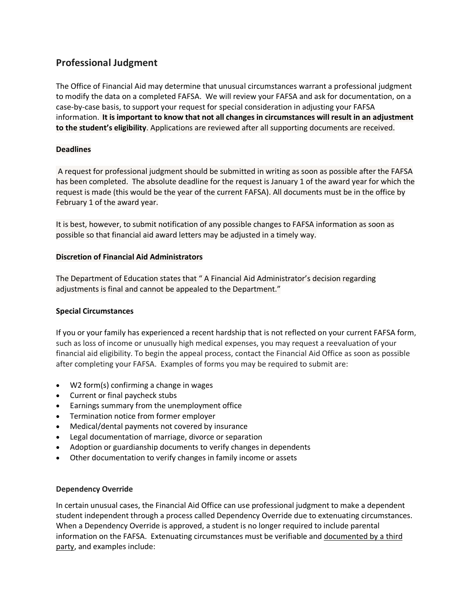# **Professional Judgment**

The Office of Financial Aid may determine that unusual circumstances warrant a professional judgment to modify the data on a completed FAFSA. We will review your FAFSA and ask for documentation, on a case-by-case basis, to support your request for special consideration in adjusting your FAFSA information. **It is important to know that not all changes in circumstances will result in an adjustment to the student's eligibility**. Applications are reviewed after all supporting documents are received.

## **Deadlines**

A request for professional judgment should be submitted in writing as soon as possible after the FAFSA has been completed. The absolute deadline for the request is January 1 of the award year for which the request is made (this would be the year of the current FAFSA). All documents must be in the office by February 1 of the award year.

It is best, however, to submit notification of any possible changes to FAFSA information as soon as possible so that financial aid award letters may be adjusted in a timely way.

### **Discretion of Financial Aid Administrators**

The Department of Education states that " A Financial Aid Administrator's decision regarding adjustments is final and cannot be appealed to the Department."

### **Special Circumstances**

If you or your family has experienced a recent hardship that is not reflected on your current FAFSA form, such as loss of income or unusually high medical expenses, you may request a reevaluation of your financial aid eligibility. To begin the appeal process, contact the Financial Aid Office as soon as possible after completing your FAFSA. Examples of forms you may be required to submit are:

- W2 form(s) confirming a change in wages
- Current or final paycheck stubs
- Earnings summary from the unemployment office
- Termination notice from former employer
- Medical/dental payments not covered by insurance
- Legal documentation of marriage, divorce or separation
- Adoption or guardianship documents to verify changes in dependents
- Other documentation to verify changes in family income or assets

### **Dependency Override**

In certain unusual cases, the Financial Aid Office can use professional judgment to make a dependent student independent through a process called Dependency Override due to extenuating circumstances. When a Dependency Override is approved, a student is no longer required to include parental information on the FAFSA. Extenuating circumstances must be verifiable and documented by a third party, and examples include: